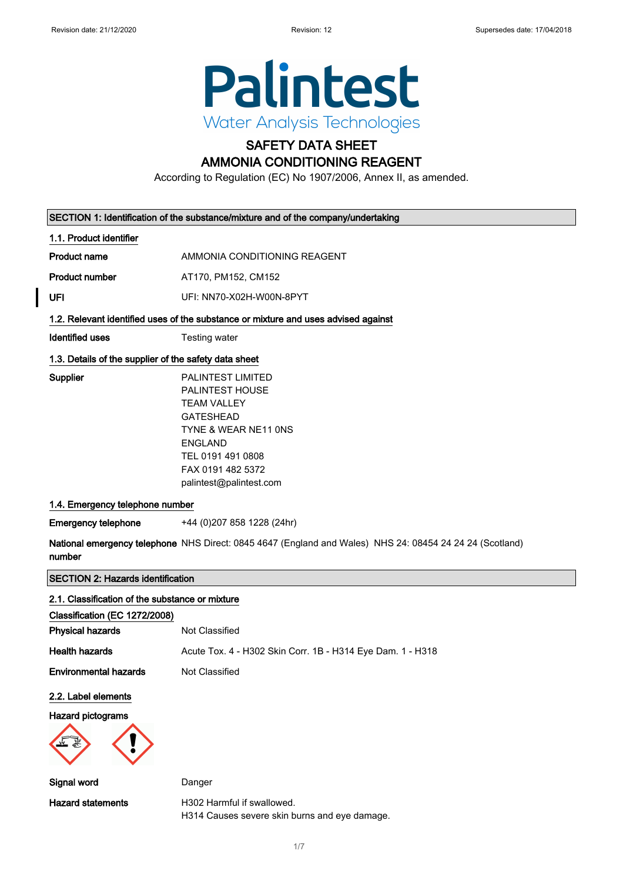$\overline{\phantom{a}}$ 



## SAFETY DATA SHEET

## AMMONIA CONDITIONING REAGENT

According to Regulation (EC) No 1907/2006, Annex II, as amended.

|                                                       | SECTION 1: Identification of the substance/mixture and of the company/undertaking                                                                                                                    |  |
|-------------------------------------------------------|------------------------------------------------------------------------------------------------------------------------------------------------------------------------------------------------------|--|
| 1.1. Product identifier                               |                                                                                                                                                                                                      |  |
| <b>Product name</b>                                   | AMMONIA CONDITIONING REAGENT                                                                                                                                                                         |  |
| <b>Product number</b>                                 | AT170, PM152, CM152                                                                                                                                                                                  |  |
| UFI                                                   | UFI: NN70-X02H-W00N-8PYT                                                                                                                                                                             |  |
|                                                       | 1.2. Relevant identified uses of the substance or mixture and uses advised against                                                                                                                   |  |
| <b>Identified uses</b>                                | Testing water                                                                                                                                                                                        |  |
| 1.3. Details of the supplier of the safety data sheet |                                                                                                                                                                                                      |  |
| Supplier                                              | PALINTEST LIMITED<br><b>PALINTEST HOUSE</b><br><b>TEAM VALLEY</b><br><b>GATESHEAD</b><br>TYNE & WEAR NE11 ONS<br><b>ENGLAND</b><br>TEL 0191 491 0808<br>FAX 0191 482 5372<br>palintest@palintest.com |  |
| 1.4. Emergency telephone number                       |                                                                                                                                                                                                      |  |
| <b>Emergency telephone</b>                            | +44 (0)207 858 1228 (24hr)                                                                                                                                                                           |  |
| number                                                | National emergency telephone NHS Direct: 0845 4647 (England and Wales) NHS 24: 08454 24 24 24 (Scotland)                                                                                             |  |
| <b>SECTION 2: Hazards identification</b>              |                                                                                                                                                                                                      |  |
| 2.1. Classification of the substance or mixture       |                                                                                                                                                                                                      |  |
| Classification (EC 1272/2008)                         |                                                                                                                                                                                                      |  |
| <b>Physical hazards</b>                               | Not Classified                                                                                                                                                                                       |  |
| <b>Health hazards</b>                                 | Acute Tox. 4 - H302 Skin Corr. 1B - H314 Eye Dam. 1 - H318                                                                                                                                           |  |
| <b>Environmental hazards</b>                          | Not Classified                                                                                                                                                                                       |  |
| 2.2. Label elements                                   |                                                                                                                                                                                                      |  |
| Hazard nictograms                                     |                                                                                                                                                                                                      |  |

#### Hazard pictograms



Signal word Danger

Hazard statements **H302 Harmful if swallowed.** H314 Causes severe skin burns and eye damage.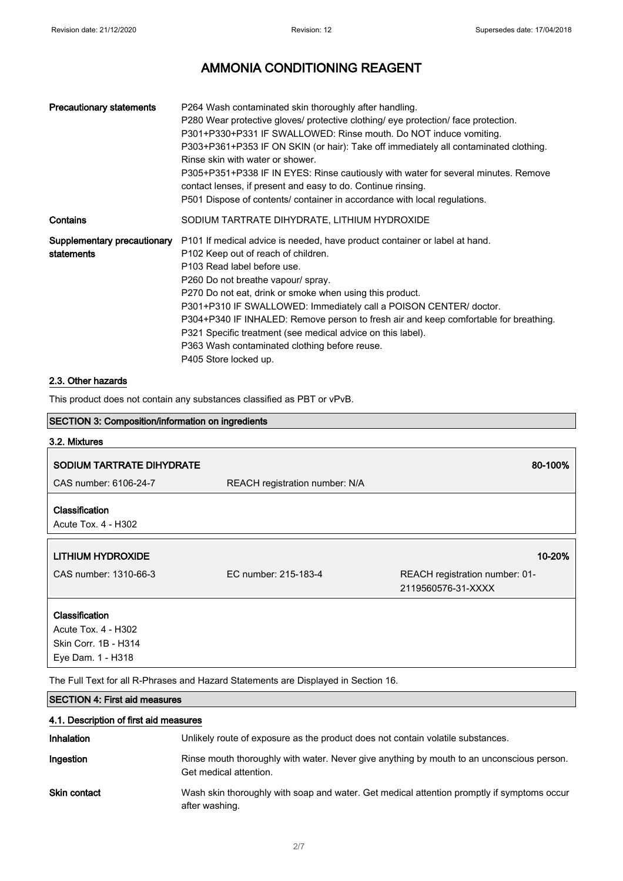| <b>Precautionary statements</b>           | P264 Wash contaminated skin thoroughly after handling.<br>P280 Wear protective gloves/ protective clothing/ eye protection/ face protection.<br>P301+P330+P331 IF SWALLOWED: Rinse mouth. Do NOT induce vomiting.<br>P303+P361+P353 IF ON SKIN (or hair): Take off immediately all contaminated clothing.<br>Rinse skin with water or shower.<br>P305+P351+P338 IF IN EYES: Rinse cautiously with water for several minutes. Remove<br>contact lenses, if present and easy to do. Continue rinsing.<br>P501 Dispose of contents/ container in accordance with local regulations. |
|-------------------------------------------|----------------------------------------------------------------------------------------------------------------------------------------------------------------------------------------------------------------------------------------------------------------------------------------------------------------------------------------------------------------------------------------------------------------------------------------------------------------------------------------------------------------------------------------------------------------------------------|
| Contains                                  | SODIUM TARTRATE DIHYDRATE, LITHIUM HYDROXIDE                                                                                                                                                                                                                                                                                                                                                                                                                                                                                                                                     |
| Supplementary precautionary<br>statements | P101 If medical advice is needed, have product container or label at hand.<br>P <sub>102</sub> Keep out of reach of children.<br>P103 Read label before use.<br>P260 Do not breathe vapour/ spray.<br>P270 Do not eat, drink or smoke when using this product.<br>P301+P310 IF SWALLOWED: Immediately call a POISON CENTER/ doctor.<br>P304+P340 IF INHALED: Remove person to fresh air and keep comfortable for breathing.<br>P321 Specific treatment (see medical advice on this label).<br>P363 Wash contaminated clothing before reuse.<br>P405 Store locked up.             |

#### 2.3. Other hazards

This product does not contain any substances classified as PBT or vPvB.

| <b>SECTION 3: Composition/information on ingredients</b> |                                                                                    |                                                      |
|----------------------------------------------------------|------------------------------------------------------------------------------------|------------------------------------------------------|
| 3.2. Mixtures                                            |                                                                                    |                                                      |
| <b>SODIUM TARTRATE DIHYDRATE</b>                         |                                                                                    | 80-100%                                              |
| CAS number: 6106-24-7                                    | <b>REACH registration number: N/A</b>                                              |                                                      |
| <b>Classification</b><br>Acute Tox. 4 - H302             |                                                                                    |                                                      |
| LITHIUM HYDROXIDE                                        |                                                                                    | 10-20%                                               |
| CAS number: 1310-66-3                                    | EC number: 215-183-4                                                               | REACH registration number: 01-<br>2119560576-31-XXXX |
| <b>Classification</b>                                    |                                                                                    |                                                      |
| Acute Tox. 4 - H302                                      |                                                                                    |                                                      |
| Skin Corr. 1B - H314                                     |                                                                                    |                                                      |
| Eye Dam. 1 - H318                                        |                                                                                    |                                                      |
|                                                          | The Full Text for all R-Phrases and Hazard Statements are Displayed in Section 16. |                                                      |

#### SECTION 4: First aid measures

| 4.1. Description of first aid measures |                                                                                                                     |  |
|----------------------------------------|---------------------------------------------------------------------------------------------------------------------|--|
| Inhalation                             | Unlikely route of exposure as the product does not contain volatile substances.                                     |  |
| Ingestion                              | Rinse mouth thoroughly with water. Never give anything by mouth to an unconscious person.<br>Get medical attention. |  |
| Skin contact                           | Wash skin thoroughly with soap and water. Get medical attention promptly if symptoms occur<br>after washing.        |  |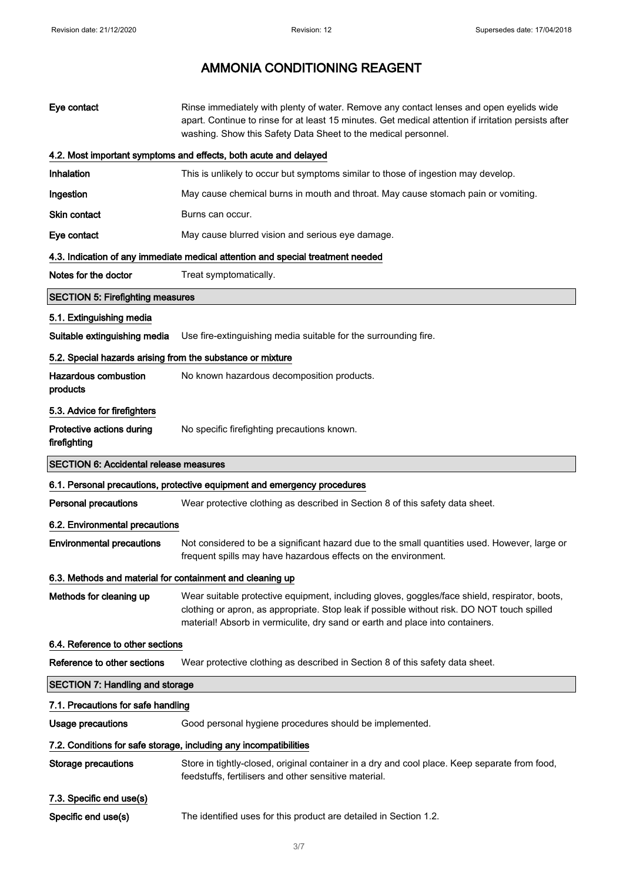| Eye contact                                                | Rinse immediately with plenty of water. Remove any contact lenses and open eyelids wide<br>apart. Continue to rinse for at least 15 minutes. Get medical attention if irritation persists after<br>washing. Show this Safety Data Sheet to the medical personnel.             |
|------------------------------------------------------------|-------------------------------------------------------------------------------------------------------------------------------------------------------------------------------------------------------------------------------------------------------------------------------|
|                                                            | 4.2. Most important symptoms and effects, both acute and delayed                                                                                                                                                                                                              |
| Inhalation                                                 | This is unlikely to occur but symptoms similar to those of ingestion may develop.                                                                                                                                                                                             |
| Ingestion                                                  | May cause chemical burns in mouth and throat. May cause stomach pain or vomiting.                                                                                                                                                                                             |
| <b>Skin contact</b>                                        | Burns can occur.                                                                                                                                                                                                                                                              |
| Eye contact                                                | May cause blurred vision and serious eye damage.                                                                                                                                                                                                                              |
|                                                            | 4.3. Indication of any immediate medical attention and special treatment needed                                                                                                                                                                                               |
| Notes for the doctor                                       | Treat symptomatically.                                                                                                                                                                                                                                                        |
| <b>SECTION 5: Firefighting measures</b>                    |                                                                                                                                                                                                                                                                               |
| 5.1. Extinguishing media                                   |                                                                                                                                                                                                                                                                               |
| Suitable extinguishing media                               | Use fire-extinguishing media suitable for the surrounding fire.                                                                                                                                                                                                               |
| 5.2. Special hazards arising from the substance or mixture |                                                                                                                                                                                                                                                                               |
| Hazardous combustion<br>products                           | No known hazardous decomposition products.                                                                                                                                                                                                                                    |
| 5.3. Advice for firefighters                               |                                                                                                                                                                                                                                                                               |
| Protective actions during<br>firefighting                  | No specific firefighting precautions known.                                                                                                                                                                                                                                   |
| <b>SECTION 6: Accidental release measures</b>              |                                                                                                                                                                                                                                                                               |
|                                                            | 6.1. Personal precautions, protective equipment and emergency procedures                                                                                                                                                                                                      |
| <b>Personal precautions</b>                                | Wear protective clothing as described in Section 8 of this safety data sheet.                                                                                                                                                                                                 |
| 6.2. Environmental precautions                             |                                                                                                                                                                                                                                                                               |
| <b>Environmental precautions</b>                           | Not considered to be a significant hazard due to the small quantities used. However, large or<br>frequent spills may have hazardous effects on the environment.                                                                                                               |
| 6.3. Methods and material for containment and cleaning up  |                                                                                                                                                                                                                                                                               |
| Methods for cleaning up                                    | Wear suitable protective equipment, including gloves, goggles/face shield, respirator, boots,<br>clothing or apron, as appropriate. Stop leak if possible without risk. DO NOT touch spilled<br>material! Absorb in vermiculite, dry sand or earth and place into containers. |
| 6.4. Reference to other sections                           |                                                                                                                                                                                                                                                                               |
| Reference to other sections                                | Wear protective clothing as described in Section 8 of this safety data sheet.                                                                                                                                                                                                 |
| <b>SECTION 7: Handling and storage</b>                     |                                                                                                                                                                                                                                                                               |
| 7.1. Precautions for safe handling                         |                                                                                                                                                                                                                                                                               |
| <b>Usage precautions</b>                                   | Good personal hygiene procedures should be implemented.                                                                                                                                                                                                                       |
|                                                            | 7.2. Conditions for safe storage, including any incompatibilities                                                                                                                                                                                                             |
| <b>Storage precautions</b>                                 | Store in tightly-closed, original container in a dry and cool place. Keep separate from food,<br>feedstuffs, fertilisers and other sensitive material.                                                                                                                        |
| 7.3. Specific end use(s)                                   |                                                                                                                                                                                                                                                                               |
| Specific end use(s)                                        | The identified uses for this product are detailed in Section 1.2.                                                                                                                                                                                                             |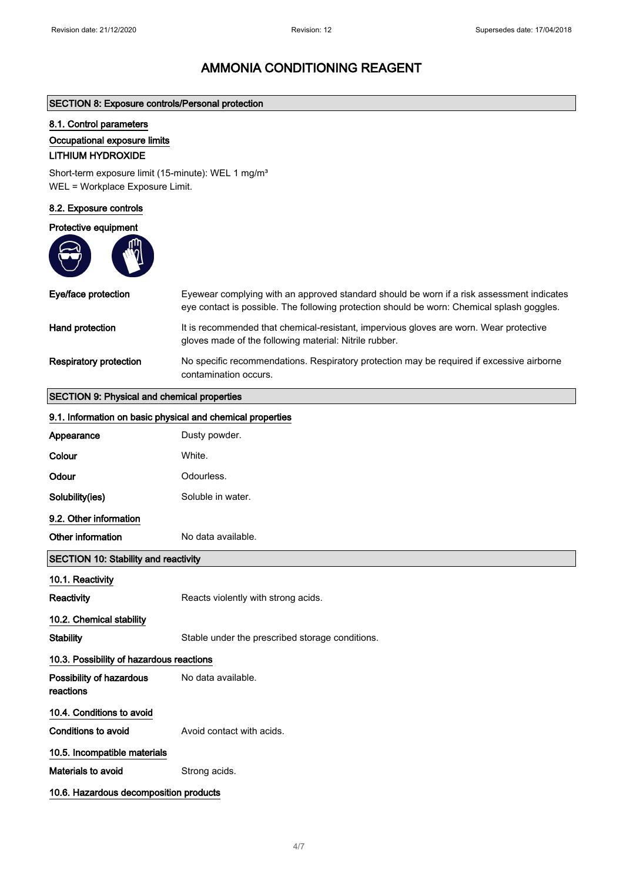#### SECTION 8: Exposure controls/Personal protection

#### 8.1. Control parameters

#### Occupational exposure limits

### LITHIUM HYDROXIDE

Short-term exposure limit (15-minute): WEL 1 mg/m<sup>3</sup> WEL = Workplace Exposure Limit.

#### 8.2. Exposure controls

#### Protective equipment

 $\overline{\phantom{a}}$ 



| Eye/face protection    | Eyewear complying with an approved standard should be worn if a risk assessment indicates<br>eye contact is possible. The following protection should be worn: Chemical splash goggles. |
|------------------------|-----------------------------------------------------------------------------------------------------------------------------------------------------------------------------------------|
| Hand protection        | It is recommended that chemical-resistant, impervious gloves are worn. Wear protective<br>gloves made of the following material: Nitrile rubber.                                        |
| Respiratory protection | No specific recommendations. Respiratory protection may be required if excessive airborne<br>contamination occurs.                                                                      |

## SECTION 9: Physical and chemical properties

| 9.1. Information on basic physical and chemical properties |                                                 |
|------------------------------------------------------------|-------------------------------------------------|
| Appearance                                                 | Dusty powder.                                   |
| Colour                                                     | White.                                          |
| Odour                                                      | Odourless.                                      |
| Solubility(ies)                                            | Soluble in water.                               |
| 9.2. Other information                                     |                                                 |
| Other information                                          | No data available.                              |
| <b>SECTION 10: Stability and reactivity</b>                |                                                 |
| 10.1. Reactivity                                           |                                                 |
| <b>Reactivity</b>                                          | Reacts violently with strong acids.             |
| 10.2. Chemical stability                                   |                                                 |
| <b>Stability</b>                                           | Stable under the prescribed storage conditions. |
| 10.3. Possibility of hazardous reactions                   |                                                 |
| Possibility of hazardous<br>reactions                      | No data available.                              |
| 10.4. Conditions to avoid                                  |                                                 |
| <b>Conditions to avoid</b>                                 | Avoid contact with acids.                       |
| 10.5. Incompatible materials                               |                                                 |
| Materials to avoid                                         | Strong acids.                                   |
| 10.6. Hazardous decomposition products                     |                                                 |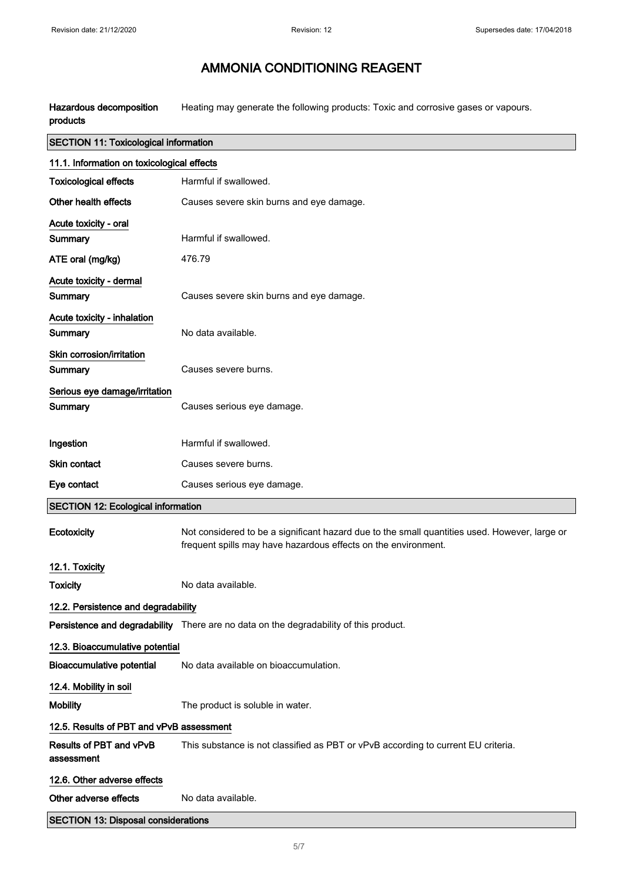Hazardous decomposition products Heating may generate the following products: Toxic and corrosive gases or vapours.

| <b>SECTION 11: Toxicological information</b> |                                                                                                                                                                 |  |
|----------------------------------------------|-----------------------------------------------------------------------------------------------------------------------------------------------------------------|--|
| 11.1. Information on toxicological effects   |                                                                                                                                                                 |  |
| <b>Toxicological effects</b>                 | Harmful if swallowed.                                                                                                                                           |  |
| Other health effects                         | Causes severe skin burns and eye damage.                                                                                                                        |  |
| Acute toxicity - oral                        |                                                                                                                                                                 |  |
| <b>Summary</b>                               | Harmful if swallowed.                                                                                                                                           |  |
| ATE oral (mg/kg)                             | 476.79                                                                                                                                                          |  |
| Acute toxicity - dermal                      |                                                                                                                                                                 |  |
| Summary                                      | Causes severe skin burns and eye damage.                                                                                                                        |  |
| Acute toxicity - inhalation                  |                                                                                                                                                                 |  |
| Summary                                      | No data available.                                                                                                                                              |  |
| Skin corrosion/irritation                    |                                                                                                                                                                 |  |
| Summary                                      | Causes severe burns.                                                                                                                                            |  |
| Serious eye damage/irritation<br>Summary     | Causes serious eye damage.                                                                                                                                      |  |
|                                              |                                                                                                                                                                 |  |
| Ingestion                                    | Harmful if swallowed.                                                                                                                                           |  |
| <b>Skin contact</b>                          | Causes severe burns.                                                                                                                                            |  |
| Eye contact                                  | Causes serious eye damage.                                                                                                                                      |  |
| <b>SECTION 12: Ecological information</b>    |                                                                                                                                                                 |  |
| Ecotoxicity                                  | Not considered to be a significant hazard due to the small quantities used. However, large or<br>frequent spills may have hazardous effects on the environment. |  |
| 12.1. Toxicity                               |                                                                                                                                                                 |  |
| <b>Toxicity</b>                              | No data available.                                                                                                                                              |  |
| 12.2. Persistence and degradability          |                                                                                                                                                                 |  |
|                                              | Persistence and degradability There are no data on the degradability of this product.                                                                           |  |
| 12.3. Bioaccumulative potential              |                                                                                                                                                                 |  |
| <b>Bioaccumulative potential</b>             | No data available on bioaccumulation.                                                                                                                           |  |
| 12.4. Mobility in soil                       |                                                                                                                                                                 |  |
| <b>Mobility</b>                              | The product is soluble in water.                                                                                                                                |  |
| 12.5. Results of PBT and vPvB assessment     |                                                                                                                                                                 |  |
| Results of PBT and vPvB<br>assessment        | This substance is not classified as PBT or vPvB according to current EU criteria.                                                                               |  |
| 12.6. Other adverse effects                  |                                                                                                                                                                 |  |
| Other adverse effects                        | No data available.                                                                                                                                              |  |
| <b>SECTION 13: Disposal considerations</b>   |                                                                                                                                                                 |  |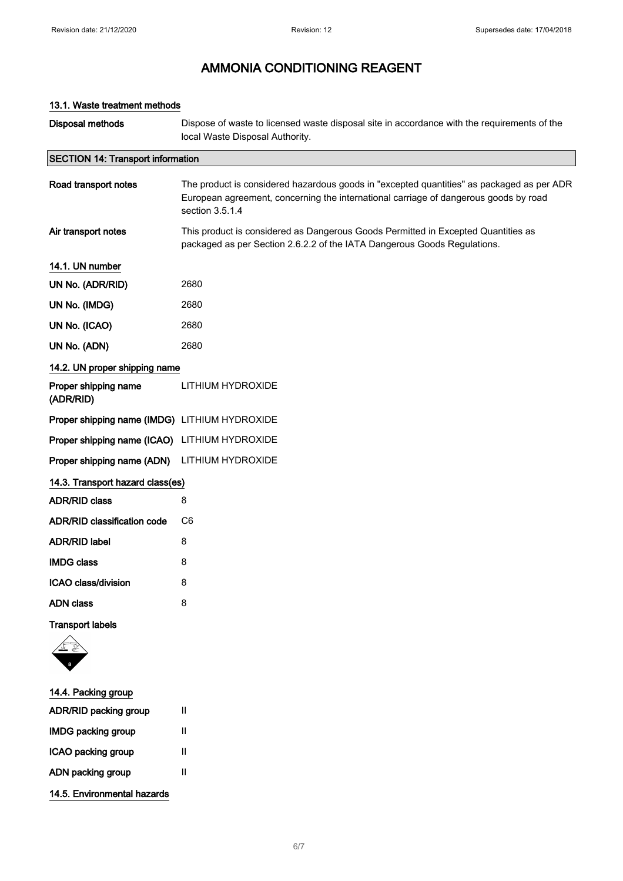| <b>Disposal methods</b>                       | Dispose of waste to licensed waste disposal site in accordance with the requirements of the<br>local Waste Disposal Authority.                                                                       |
|-----------------------------------------------|------------------------------------------------------------------------------------------------------------------------------------------------------------------------------------------------------|
| <b>SECTION 14: Transport information</b>      |                                                                                                                                                                                                      |
| Road transport notes                          | The product is considered hazardous goods in "excepted quantities" as packaged as per ADR<br>European agreement, concerning the international carriage of dangerous goods by road<br>section 3.5.1.4 |
| Air transport notes                           | This product is considered as Dangerous Goods Permitted in Excepted Quantities as<br>packaged as per Section 2.6.2.2 of the IATA Dangerous Goods Regulations.                                        |
| 14.1. UN number                               |                                                                                                                                                                                                      |
| UN No. (ADR/RID)                              | 2680                                                                                                                                                                                                 |
| UN No. (IMDG)                                 | 2680                                                                                                                                                                                                 |
| UN No. (ICAO)                                 | 2680                                                                                                                                                                                                 |
| UN No. (ADN)                                  | 2680                                                                                                                                                                                                 |
| 14.2. UN proper shipping name                 |                                                                                                                                                                                                      |
| Proper shipping name<br>(ADR/RID)             | LITHIUM HYDROXIDE                                                                                                                                                                                    |
| Proper shipping name (IMDG) LITHIUM HYDROXIDE |                                                                                                                                                                                                      |
| Proper shipping name (ICAO) LITHIUM HYDROXIDE |                                                                                                                                                                                                      |
| Proper shipping name (ADN)                    | LITHIUM HYDROXIDE                                                                                                                                                                                    |
| 14.3. Transport hazard class(es)              |                                                                                                                                                                                                      |
| <b>ADR/RID class</b>                          | 8                                                                                                                                                                                                    |
| ADR/RID classification code                   | C <sub>6</sub>                                                                                                                                                                                       |
| <b>ADR/RID label</b>                          | 8                                                                                                                                                                                                    |
| <b>IMDG class</b>                             | 8                                                                                                                                                                                                    |
| ICAO class/division                           | 8                                                                                                                                                                                                    |
| <b>ADN</b> class                              | 8                                                                                                                                                                                                    |
| <b>Transport labels</b>                       |                                                                                                                                                                                                      |
|                                               |                                                                                                                                                                                                      |
| 14.4. Packing group                           |                                                                                                                                                                                                      |

6/ 7

#### 13.1. Waste treatment methods

ADR/RID packing group II IMDG packing group II ICAO packing group II ADN packing group II

14.5. Environmental hazards